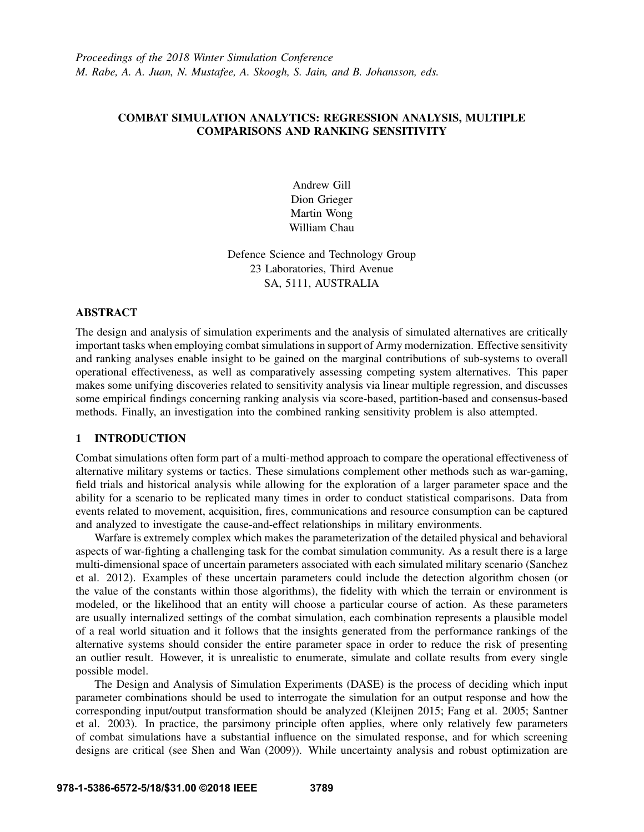# COMBAT SIMULATION ANALYTICS: REGRESSION ANALYSIS, MULTIPLE COMPARISONS AND RANKING SENSITIVITY

Andrew Gill Dion Grieger Martin Wong William Chau

Defence Science and Technology Group 23 Laboratories, Third Avenue SA, 5111, AUSTRALIA

# ABSTRACT

The design and analysis of simulation experiments and the analysis of simulated alternatives are critically important tasks when employing combat simulations in support of Army modernization. Effective sensitivity and ranking analyses enable insight to be gained on the marginal contributions of sub-systems to overall operational effectiveness, as well as comparatively assessing competing system alternatives. This paper makes some unifying discoveries related to sensitivity analysis via linear multiple regression, and discusses some empirical findings concerning ranking analysis via score-based, partition-based and consensus-based methods. Finally, an investigation into the combined ranking sensitivity problem is also attempted.

### 1 INTRODUCTION

Combat simulations often form part of a multi-method approach to compare the operational effectiveness of alternative military systems or tactics. These simulations complement other methods such as war-gaming, field trials and historical analysis while allowing for the exploration of a larger parameter space and the ability for a scenario to be replicated many times in order to conduct statistical comparisons. Data from events related to movement, acquisition, fires, communications and resource consumption can be captured and analyzed to investigate the cause-and-effect relationships in military environments.

Warfare is extremely complex which makes the parameterization of the detailed physical and behavioral aspects of war-fighting a challenging task for the combat simulation community. As a result there is a large multi-dimensional space of uncertain parameters associated with each simulated military scenario (Sanchez et al. 2012). Examples of these uncertain parameters could include the detection algorithm chosen (or the value of the constants within those algorithms), the fidelity with which the terrain or environment is modeled, or the likelihood that an entity will choose a particular course of action. As these parameters are usually internalized settings of the combat simulation, each combination represents a plausible model of a real world situation and it follows that the insights generated from the performance rankings of the alternative systems should consider the entire parameter space in order to reduce the risk of presenting an outlier result. However, it is unrealistic to enumerate, simulate and collate results from every single possible model.

The Design and Analysis of Simulation Experiments (DASE) is the process of deciding which input parameter combinations should be used to interrogate the simulation for an output response and how the corresponding input/output transformation should be analyzed (Kleijnen 2015; Fang et al. 2005; Santner et al. 2003). In practice, the parsimony principle often applies, where only relatively few parameters of combat simulations have a substantial influence on the simulated response, and for which screening designs are critical (see Shen and Wan (2009)). While uncertainty analysis and robust optimization are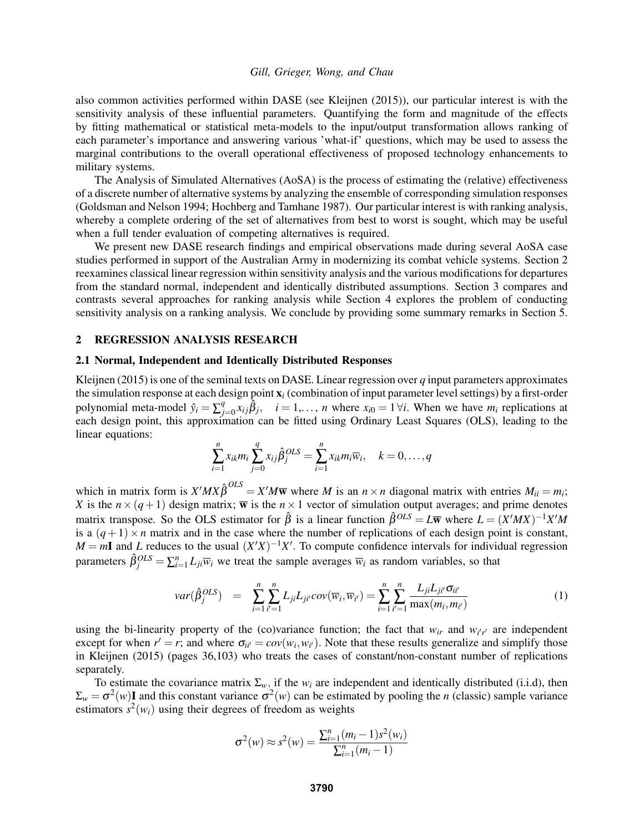also common activities performed within DASE (see Kleijnen (2015)), our particular interest is with the sensitivity analysis of these influential parameters. Quantifying the form and magnitude of the effects by fitting mathematical or statistical meta-models to the input/output transformation allows ranking of each parameter's importance and answering various 'what-if' questions, which may be used to assess the marginal contributions to the overall operational effectiveness of proposed technology enhancements to military systems.

The Analysis of Simulated Alternatives (AoSA) is the process of estimating the (relative) effectiveness of a discrete number of alternative systems by analyzing the ensemble of corresponding simulation responses (Goldsman and Nelson 1994; Hochberg and Tamhane 1987). Our particular interest is with ranking analysis, whereby a complete ordering of the set of alternatives from best to worst is sought, which may be useful when a full tender evaluation of competing alternatives is required.

We present new DASE research findings and empirical observations made during several AoSA case studies performed in support of the Australian Army in modernizing its combat vehicle systems. Section 2 reexamines classical linear regression within sensitivity analysis and the various modifications for departures from the standard normal, independent and identically distributed assumptions. Section 3 compares and contrasts several approaches for ranking analysis while Section 4 explores the problem of conducting sensitivity analysis on a ranking analysis. We conclude by providing some summary remarks in Section 5.

#### 2 REGRESSION ANALYSIS RESEARCH

#### 2.1 Normal, Independent and Identically Distributed Responses

Kleijnen (2015) is one of the seminal texts on DASE. Linear regression over *q* input parameters approximates the simulation response at each design point x*<sup>i</sup>* (combination of input parameter level settings) by a first-order polynomial meta-model  $\hat{y}_i = \sum_{j=1}^{q}$  $\hat{\beta}_{j=0}$   $\hat{x}_{ij}$   $\hat{\beta}_j$ ,  $i = 1,..., n$  where  $x_{i0} = 1 \forall i$ . When we have  $m_i$  replications at each design point, this approximation can be fitted using Ordinary Least Squares (OLS), leading to the linear equations:

$$
\sum_{i=1}^n x_{ik} m_i \sum_{j=0}^q x_{ij} \hat{\beta}_j^{OLS} = \sum_{i=1}^n x_{ik} m_i \overline{w}_i, \quad k=0,\ldots,q
$$

which in matrix form is  $X'MX\hat{\beta}^{OLS} = X'M\overline{\mathbf{w}}$  where *M* is an  $n \times n$  diagonal matrix with entries  $M_{ii} = m_i$ ; *X* is the  $n \times (q+1)$  design matrix;  $\overline{w}$  is the  $n \times 1$  vector of simulation output averages; and prime denotes matrix transpose. So the OLS estimator for  $\hat{\beta}$  is a linear function  $\hat{\beta}^{OLS} = L\overline{w}$  where  $L = (X'MX)^{-1}X'M$ is a  $(q+1) \times n$  matrix and in the case where the number of replications of each design point is constant,  $M = mI$  and *L* reduces to the usual  $(X'X)^{-1}X'$ . To compute confidence intervals for individual regression parameters  $\hat{\beta}_j^{OLS} = \sum_{i=1}^n L_{ji} \overline{w}_i$  we treat the sample averages  $\overline{w}_i$  as random variables, so that

$$
var(\hat{\beta}_j^{OLS}) = \sum_{i=1}^n \sum_{i'=1}^n L_{ji} L_{ji'} cov(\overline{w}_i, \overline{w}_{i'}) = \sum_{i=1}^n \sum_{i'=1}^n \frac{L_{ji} L_{ji'} \sigma_{ii'}}{\max(m_i, m_{i'})}
$$
(1)

using the bi-linearity property of the (co)variance function; the fact that  $w_{ir}$  and  $w_{i'r'}$  are independent except for when  $r' = r$ ; and where  $\sigma_{ii'} = cov(w_i, w_{i'})$ . Note that these results generalize and simplify those in Kleijnen (2015) (pages 36,103) who treats the cases of constant/non-constant number of replications separately.

To estimate the covariance matrix  $\Sigma_w$ , if the  $w_i$  are independent and identically distributed (i.i.d), then  $\Sigma_w = \sigma^2(w)$ I and this constant variance  $\sigma^2(w)$  can be estimated by pooling the *n* (classic) sample variance estimators  $s^2(w_i)$  using their degrees of freedom as weights

$$
\sigma^{2}(w) \approx s^{2}(w) = \frac{\sum_{i=1}^{n} (m_{i} - 1)s^{2}(w_{i})}{\sum_{i=1}^{n} (m_{i} - 1)}
$$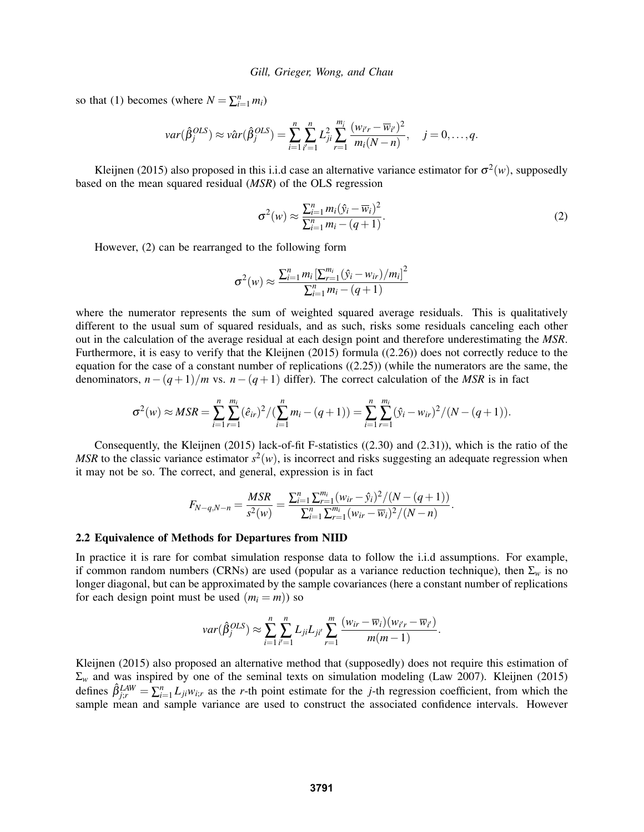so that (1) becomes (where  $N = \sum_{i=1}^{n} m_i$ )

$$
var(\hat{\beta}_j^{OLS}) \approx \hat{var}(\hat{\beta}_j^{OLS}) = \sum_{i=1}^n \sum_{i'=1}^n L_{ji}^2 \sum_{r=1}^{m_i} \frac{(w_{i'r} - \overline{w}_{i'})^2}{m_i(N-n)}, \quad j=0,\ldots,q.
$$

Kleijnen (2015) also proposed in this i.i.d case an alternative variance estimator for  $\sigma^2(w)$ , supposedly based on the mean squared residual (*MSR*) of the OLS regression

$$
\sigma^2(w) \approx \frac{\sum_{i=1}^n m_i (\hat{y}_i - \overline{w}_i)^2}{\sum_{i=1}^n m_i - (q+1)}.
$$
 (2)

However, (2) can be rearranged to the following form

$$
\sigma^{2}(w) \approx \frac{\sum_{i=1}^{n} m_{i} \left[\sum_{r=1}^{m_{i}} (\hat{y}_{i} - w_{ir})/m_{i}\right]^{2}}{\sum_{i=1}^{n} m_{i} - (q+1)}
$$

where the numerator represents the sum of weighted squared average residuals. This is qualitatively different to the usual sum of squared residuals, and as such, risks some residuals canceling each other out in the calculation of the average residual at each design point and therefore underestimating the *MSR*. Furthermore, it is easy to verify that the Kleijnen (2015) formula ((2.26)) does not correctly reduce to the equation for the case of a constant number of replications ((2.25)) (while the numerators are the same, the denominators,  $n-(q+1)/m$  vs.  $n-(q+1)$  differ). The correct calculation of the *MSR* is in fact

$$
\sigma^{2}(w) \approx MSR = \sum_{i=1}^{n} \sum_{r=1}^{m_{i}} (\hat{e}_{ir})^{2} / (\sum_{i=1}^{n} m_{i} - (q+1)) = \sum_{i=1}^{n} \sum_{r=1}^{m_{i}} (\hat{y}_{i} - w_{ir})^{2} / (N - (q+1)).
$$

Consequently, the Kleijnen (2015) lack-of-fit F-statistics ((2.30) and (2.31)), which is the ratio of the *MSR* to the classic variance estimator  $s^2(w)$ , is incorrect and risks suggesting an adequate regression when it may not be so. The correct, and general, expression is in fact

$$
F_{N-q,N-n} = \frac{MSR}{s^2(w)} = \frac{\sum_{i=1}^n \sum_{r=1}^{m_i} (w_{ir} - \hat{y}_i)^2 / (N - (q+1))}{\sum_{i=1}^n \sum_{r=1}^{m_i} (w_{ir} - \overline{w}_i)^2 / (N-n)}.
$$

#### 2.2 Equivalence of Methods for Departures from NIID

In practice it is rare for combat simulation response data to follow the i.i.d assumptions. For example, if common random numbers (CRNs) are used (popular as a variance reduction technique), then  $\Sigma_w$  is no longer diagonal, but can be approximated by the sample covariances (here a constant number of replications for each design point must be used  $(m_i = m)$  so

$$
var(\hat{\beta}_j^{OLS}) \approx \sum_{i=1}^n \sum_{i'=1}^n L_{ji} L_{ji'} \sum_{r=1}^m \frac{(w_{ir} - \overline{w}_i)(w_{i'r} - \overline{w}_{i'})}{m(m-1)}.
$$

Kleijnen (2015) also proposed an alternative method that (supposedly) does not require this estimation of  $\Sigma_w$  and was inspired by one of the seminal texts on simulation modeling (Law 2007). Kleijnen (2015) defines  $\hat{\beta}_{j;r}^{LAW} = \sum_{i=1}^{n} L_{ji} w_{i;r}$  as the *r*-th point estimate for the *j*-th regression coefficient, from which the sample mean and sample variance are used to construct the associated confidence intervals. However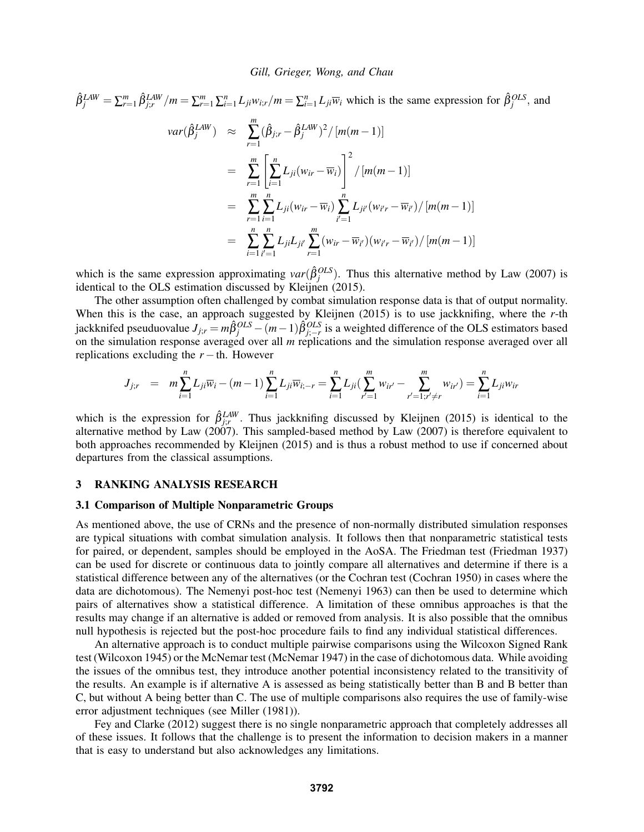$$
\hat{\beta}_{j}^{LAW} = \sum_{r=1}^{m} \hat{\beta}_{j;r}^{LAW} / m = \sum_{r=1}^{m} \sum_{i=1}^{n} L_{ji} w_{i;r} / m = \sum_{i=1}^{n} L_{ji} \overline{w}_{i} \text{ which is the same expression for } \hat{\beta}_{j}^{OLS}, \text{ and}
$$

$$
var(\hat{\beta}_{j}^{LAW}) \approx \sum_{r=1}^{m} (\hat{\beta}_{j:r} - \hat{\beta}_{j}^{LAW})^{2} / [m(m-1)]
$$

$$
= \sum_{r=1}^{m} \left[ \sum_{i=1}^{n} L_{ji} (w_{ir} - \overline{w}_{i}) \right]^{2} / [m(m-1)]
$$

$$
= \sum_{r=1}^{m} \sum_{i=1}^{n} L_{ji} (w_{ir} - \overline{w}_{i}) \sum_{i'=1}^{n} L_{ji'} (w_{i'r} - \overline{w}_{i'}) / [m(m-1)]
$$

$$
= \sum_{i=1}^{n} \sum_{i'=1}^{n} L_{ji} L_{ji'} \sum_{r=1}^{m} (w_{ir} - \overline{w}_{i'}) (w_{i'r} - \overline{w}_{i'}) / [m(m-1)]
$$

which is the same expression approximating  $var(\hat{\beta}_j^{OLS})$ . Thus this alternative method by Law (2007) is identical to the OLS estimation discussed by Kleijnen (2015).

The other assumption often challenged by combat simulation response data is that of output normality. When this is the case, an approach suggested by Kleijnen (2015) is to use jackknifing, where the *r*-th jackknifed pseuduovalue  $J_{j;r} = m\hat{\beta}_j^{OLS} - (m-1)\hat{\beta}_{j;-r}^{OLS}$  is a weighted difference of the OLS estimators based on the simulation response averaged over all *m* replications and the simulation response averaged over all replications excluding the  $r -$ th. However

$$
J_{j;r} = m \sum_{i=1}^{n} L_{ji} \overline{w}_i - (m-1) \sum_{i=1}^{n} L_{ji} \overline{w}_{i;-r} = \sum_{i=1}^{n} L_{ji} (\sum_{r'=1}^{m} w_{ir'} - \sum_{r'=1; r'\neq r}^{m} w_{ir'}) = \sum_{i=1}^{n} L_{ji} w_{ir'}
$$

which is the expression for  $\hat{\beta}_{j;r}^{LAW}$ . Thus jackknifing discussed by Kleijnen (2015) is identical to the alternative method by Law  $(2007)$ . This sampled-based method by Law  $(2007)$  is therefore equivalent to both approaches recommended by Kleijnen (2015) and is thus a robust method to use if concerned about departures from the classical assumptions.

## 3 RANKING ANALYSIS RESEARCH

#### 3.1 Comparison of Multiple Nonparametric Groups

As mentioned above, the use of CRNs and the presence of non-normally distributed simulation responses are typical situations with combat simulation analysis. It follows then that nonparametric statistical tests for paired, or dependent, samples should be employed in the AoSA. The Friedman test (Friedman 1937) can be used for discrete or continuous data to jointly compare all alternatives and determine if there is a statistical difference between any of the alternatives (or the Cochran test (Cochran 1950) in cases where the data are dichotomous). The Nemenyi post-hoc test (Nemenyi 1963) can then be used to determine which pairs of alternatives show a statistical difference. A limitation of these omnibus approaches is that the results may change if an alternative is added or removed from analysis. It is also possible that the omnibus null hypothesis is rejected but the post-hoc procedure fails to find any individual statistical differences.

An alternative approach is to conduct multiple pairwise comparisons using the Wilcoxon Signed Rank test (Wilcoxon 1945) or the McNemar test (McNemar 1947) in the case of dichotomous data. While avoiding the issues of the omnibus test, they introduce another potential inconsistency related to the transitivity of the results. An example is if alternative A is assessed as being statistically better than B and B better than C, but without A being better than C. The use of multiple comparisons also requires the use of family-wise error adjustment techniques (see Miller (1981)).

Fey and Clarke (2012) suggest there is no single nonparametric approach that completely addresses all of these issues. It follows that the challenge is to present the information to decision makers in a manner that is easy to understand but also acknowledges any limitations.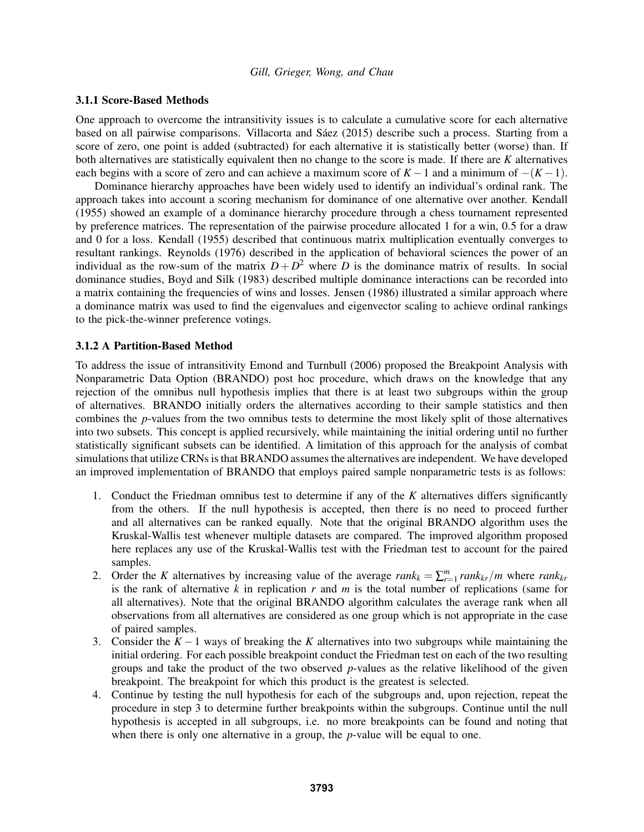## 3.1.1 Score-Based Methods

One approach to overcome the intransitivity issues is to calculate a cumulative score for each alternative based on all pairwise comparisons. Villacorta and Sáez (2015) describe such a process. Starting from a score of zero, one point is added (subtracted) for each alternative it is statistically better (worse) than. If both alternatives are statistically equivalent then no change to the score is made. If there are *K* alternatives each begins with a score of zero and can achieve a maximum score of  $K - 1$  and a minimum of  $-(K - 1)$ .

Dominance hierarchy approaches have been widely used to identify an individual's ordinal rank. The approach takes into account a scoring mechanism for dominance of one alternative over another. Kendall (1955) showed an example of a dominance hierarchy procedure through a chess tournament represented by preference matrices. The representation of the pairwise procedure allocated 1 for a win, 0.5 for a draw and 0 for a loss. Kendall (1955) described that continuous matrix multiplication eventually converges to resultant rankings. Reynolds (1976) described in the application of behavioral sciences the power of an individual as the row-sum of the matrix  $D + D^2$  where *D* is the dominance matrix of results. In social dominance studies, Boyd and Silk (1983) described multiple dominance interactions can be recorded into a matrix containing the frequencies of wins and losses. Jensen (1986) illustrated a similar approach where a dominance matrix was used to find the eigenvalues and eigenvector scaling to achieve ordinal rankings to the pick-the-winner preference votings.

## 3.1.2 A Partition-Based Method

To address the issue of intransitivity Emond and Turnbull (2006) proposed the Breakpoint Analysis with Nonparametric Data Option (BRANDO) post hoc procedure, which draws on the knowledge that any rejection of the omnibus null hypothesis implies that there is at least two subgroups within the group of alternatives. BRANDO initially orders the alternatives according to their sample statistics and then combines the *p*-values from the two omnibus tests to determine the most likely split of those alternatives into two subsets. This concept is applied recursively, while maintaining the initial ordering until no further statistically significant subsets can be identified. A limitation of this approach for the analysis of combat simulations that utilize CRNs is that BRANDO assumes the alternatives are independent. We have developed an improved implementation of BRANDO that employs paired sample nonparametric tests is as follows:

- 1. Conduct the Friedman omnibus test to determine if any of the *K* alternatives differs significantly from the others. If the null hypothesis is accepted, then there is no need to proceed further and all alternatives can be ranked equally. Note that the original BRANDO algorithm uses the Kruskal-Wallis test whenever multiple datasets are compared. The improved algorithm proposed here replaces any use of the Kruskal-Wallis test with the Friedman test to account for the paired samples.
- 2. Order the *K* alternatives by increasing value of the average  $rank_k = \sum_{r=1}^m rank_{kr}/m$  where  $rank_{kr}$ is the rank of alternative *k* in replication *r* and *m* is the total number of replications (same for all alternatives). Note that the original BRANDO algorithm calculates the average rank when all observations from all alternatives are considered as one group which is not appropriate in the case of paired samples.
- 3. Consider the *K* −1 ways of breaking the *K* alternatives into two subgroups while maintaining the initial ordering. For each possible breakpoint conduct the Friedman test on each of the two resulting groups and take the product of the two observed *p*-values as the relative likelihood of the given breakpoint. The breakpoint for which this product is the greatest is selected.
- 4. Continue by testing the null hypothesis for each of the subgroups and, upon rejection, repeat the procedure in step 3 to determine further breakpoints within the subgroups. Continue until the null hypothesis is accepted in all subgroups, i.e. no more breakpoints can be found and noting that when there is only one alternative in a group, the *p*-value will be equal to one.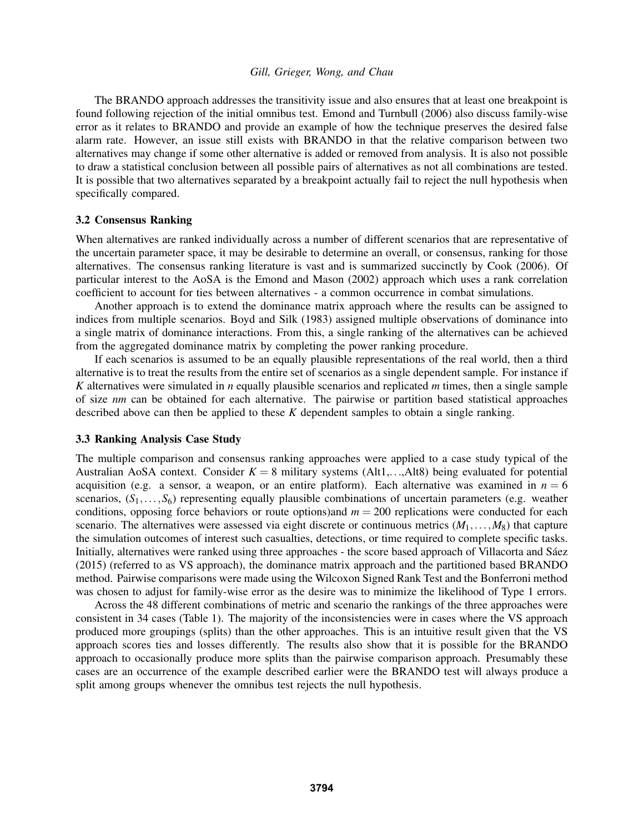The BRANDO approach addresses the transitivity issue and also ensures that at least one breakpoint is found following rejection of the initial omnibus test. Emond and Turnbull (2006) also discuss family-wise error as it relates to BRANDO and provide an example of how the technique preserves the desired false alarm rate. However, an issue still exists with BRANDO in that the relative comparison between two alternatives may change if some other alternative is added or removed from analysis. It is also not possible to draw a statistical conclusion between all possible pairs of alternatives as not all combinations are tested. It is possible that two alternatives separated by a breakpoint actually fail to reject the null hypothesis when specifically compared.

## 3.2 Consensus Ranking

When alternatives are ranked individually across a number of different scenarios that are representative of the uncertain parameter space, it may be desirable to determine an overall, or consensus, ranking for those alternatives. The consensus ranking literature is vast and is summarized succinctly by Cook (2006). Of particular interest to the AoSA is the Emond and Mason (2002) approach which uses a rank correlation coefficient to account for ties between alternatives - a common occurrence in combat simulations.

Another approach is to extend the dominance matrix approach where the results can be assigned to indices from multiple scenarios. Boyd and Silk (1983) assigned multiple observations of dominance into a single matrix of dominance interactions. From this, a single ranking of the alternatives can be achieved from the aggregated dominance matrix by completing the power ranking procedure.

If each scenarios is assumed to be an equally plausible representations of the real world, then a third alternative is to treat the results from the entire set of scenarios as a single dependent sample. For instance if *K* alternatives were simulated in *n* equally plausible scenarios and replicated *m* times, then a single sample of size *nm* can be obtained for each alternative. The pairwise or partition based statistical approaches described above can then be applied to these *K* dependent samples to obtain a single ranking.

## 3.3 Ranking Analysis Case Study

The multiple comparison and consensus ranking approaches were applied to a case study typical of the Australian AoSA context. Consider  $K = 8$  military systems (Alt1,...,Alt8) being evaluated for potential acquisition (e.g. a sensor, a weapon, or an entire platform). Each alternative was examined in  $n = 6$ scenarios,  $(S_1, \ldots, S_6)$  representing equally plausible combinations of uncertain parameters (e.g. weather conditions, opposing force behaviors or route options)and  $m = 200$  replications were conducted for each scenario. The alternatives were assessed via eight discrete or continuous metrics (*M*1,...,*M*8) that capture the simulation outcomes of interest such casualties, detections, or time required to complete specific tasks. Initially, alternatives were ranked using three approaches - the score based approach of Villacorta and Sáez (2015) (referred to as VS approach), the dominance matrix approach and the partitioned based BRANDO method. Pairwise comparisons were made using the Wilcoxon Signed Rank Test and the Bonferroni method was chosen to adjust for family-wise error as the desire was to minimize the likelihood of Type 1 errors.

Across the 48 different combinations of metric and scenario the rankings of the three approaches were consistent in 34 cases (Table 1). The majority of the inconsistencies were in cases where the VS approach produced more groupings (splits) than the other approaches. This is an intuitive result given that the VS approach scores ties and losses differently. The results also show that it is possible for the BRANDO approach to occasionally produce more splits than the pairwise comparison approach. Presumably these cases are an occurrence of the example described earlier were the BRANDO test will always produce a split among groups whenever the omnibus test rejects the null hypothesis.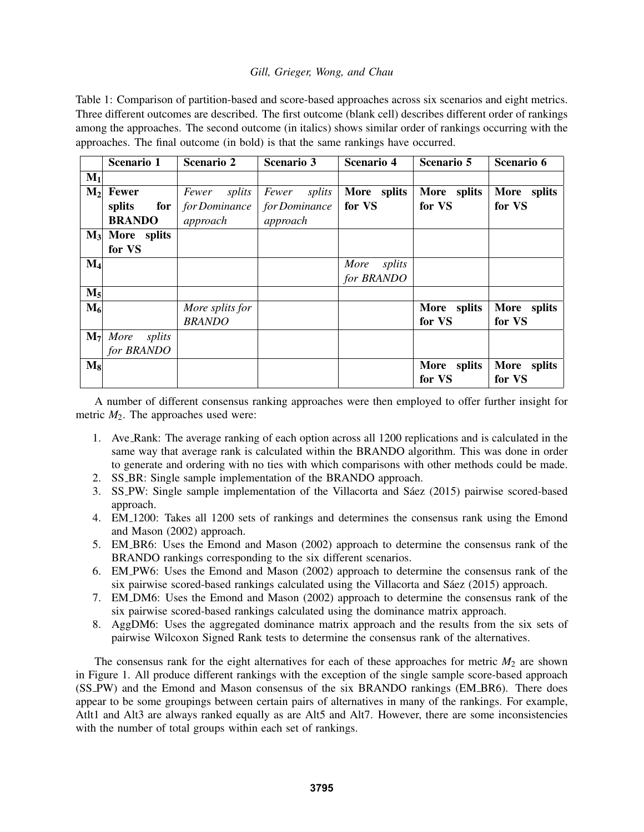Table 1: Comparison of partition-based and score-based approaches across six scenarios and eight metrics. Three different outcomes are described. The first outcome (blank cell) describes different order of rankings among the approaches. The second outcome (in italics) shows similar order of rankings occurring with the approaches. The final outcome (in bold) is that the same rankings have occurred.

|                | Scenario 1              | Scenario 2      | <b>Scenario 3</b> | <b>Scenario 4</b> | Scenario 5  | Scenario 6  |
|----------------|-------------------------|-----------------|-------------------|-------------------|-------------|-------------|
| $M_1$          |                         |                 |                   |                   |             |             |
| $M_2$          | <b>Fewer</b>            | splits<br>Fewer | Fewer splits      | More splits       | More splits | More splits |
|                | splits<br>$for \,   \,$ | for Dominance   | for Dominance     | for VS            | for VS      | for VS      |
|                | <b>BRANDO</b>           | approach        | approach          |                   |             |             |
| $M_3$          | More splits             |                 |                   |                   |             |             |
|                | for VS                  |                 |                   |                   |             |             |
| $M_4$          |                         |                 |                   | splits<br>More    |             |             |
|                |                         |                 |                   | for BRANDO        |             |             |
| $M_5$          |                         |                 |                   |                   |             |             |
| $M_6$          |                         | More splits for |                   |                   | More splits | More splits |
|                |                         | <b>BRANDO</b>   |                   |                   | for VS      | for VS      |
| M <sub>7</sub> | More<br>splits          |                 |                   |                   |             |             |
|                | for BRANDO              |                 |                   |                   |             |             |
| $\mathbf{M}_8$ |                         |                 |                   |                   | More splits | More splits |
|                |                         |                 |                   |                   | for VS      | for VS      |

A number of different consensus ranking approaches were then employed to offer further insight for metric  $M_2$ . The approaches used were:

- 1. Ave Rank: The average ranking of each option across all 1200 replications and is calculated in the same way that average rank is calculated within the BRANDO algorithm. This was done in order to generate and ordering with no ties with which comparisons with other methods could be made.
- 2. SS BR: Single sample implementation of the BRANDO approach.
- 3. SS\_PW: Single sample implementation of the Villacorta and Sáez (2015) pairwise scored-based approach.
- 4. EM 1200: Takes all 1200 sets of rankings and determines the consensus rank using the Emond and Mason (2002) approach.
- 5. EM BR6: Uses the Emond and Mason (2002) approach to determine the consensus rank of the BRANDO rankings corresponding to the six different scenarios.
- 6. EM PW6: Uses the Emond and Mason (2002) approach to determine the consensus rank of the six pairwise scored-based rankings calculated using the Villacorta and Sáez  $(2015)$  approach.
- 7. EM DM6: Uses the Emond and Mason (2002) approach to determine the consensus rank of the six pairwise scored-based rankings calculated using the dominance matrix approach.
- 8. AggDM6: Uses the aggregated dominance matrix approach and the results from the six sets of pairwise Wilcoxon Signed Rank tests to determine the consensus rank of the alternatives.

The consensus rank for the eight alternatives for each of these approaches for metric  $M_2$  are shown in Figure 1. All produce different rankings with the exception of the single sample score-based approach (SS PW) and the Emond and Mason consensus of the six BRANDO rankings (EM BR6). There does appear to be some groupings between certain pairs of alternatives in many of the rankings. For example, Atlt1 and Alt3 are always ranked equally as are Alt5 and Alt7. However, there are some inconsistencies with the number of total groups within each set of rankings.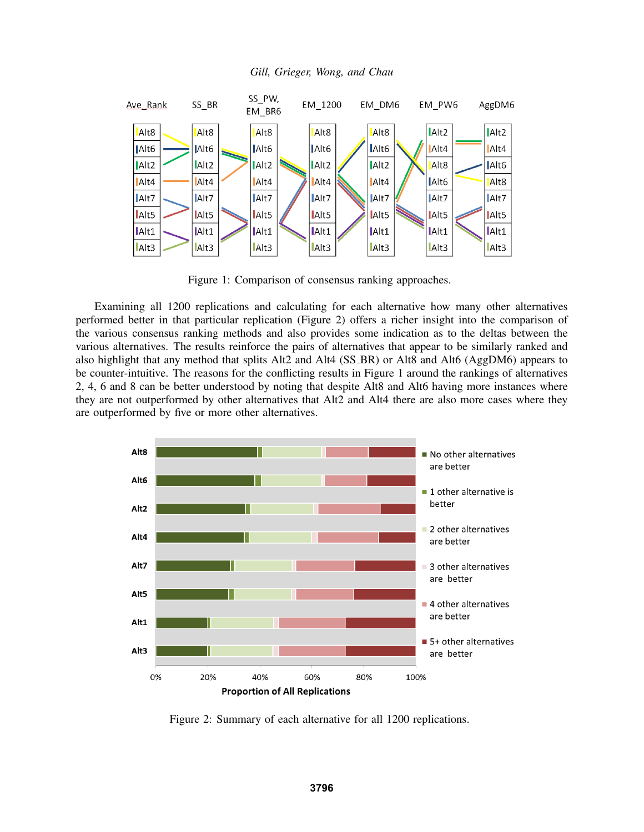

*Gill, Grieger, Wong, and Chau*

Figure 1: Comparison of consensus ranking approaches.

Examining all 1200 replications and calculating for each alternative how many other alternatives performed better in that particular replication (Figure 2) offers a richer insight into the comparison of the various consensus ranking methods and also provides some indication as to the deltas between the various alternatives. The results reinforce the pairs of alternatives that appear to be similarly ranked and also highlight that any method that splits Alt2 and Alt4 (SS BR) or Alt8 and Alt6 (AggDM6) appears to be counter-intuitive. The reasons for the conflicting results in Figure 1 around the rankings of alternatives 2, 4, 6 and 8 can be better understood by noting that despite Alt8 and Alt6 having more instances where they are not outperformed by other alternatives that Alt2 and Alt4 there are also more cases where they are outperformed by five or more other alternatives.



Figure 2: Summary of each alternative for all 1200 replications.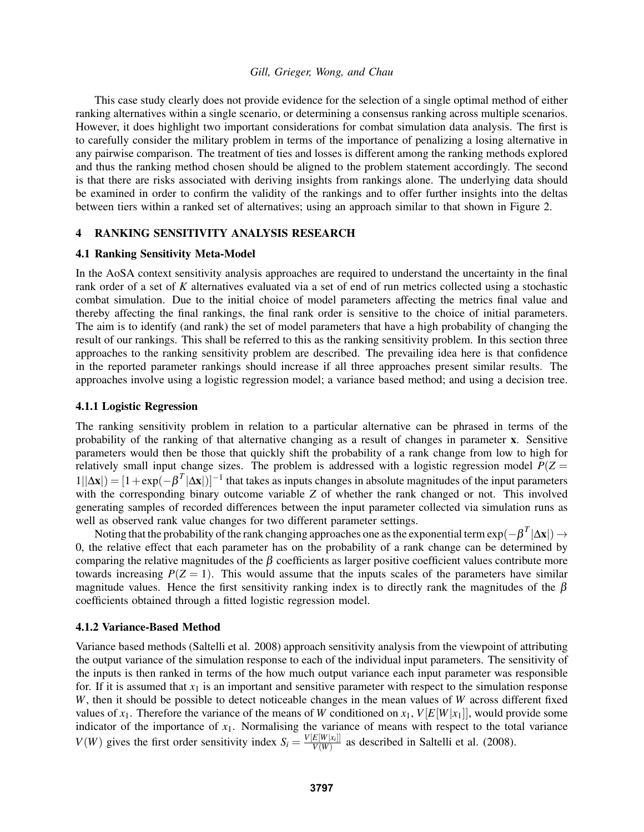This case study clearly does not provide evidence for the selection of a single optimal method of either ranking alternatives within a single scenario, or determining a consensus ranking across multiple scenarios. However, it does highlight two important considerations for combat simulation data analysis. The first is to carefully consider the military problem in terms of the importance of penalizing a losing alternative in any pairwise comparison. The treatment of ties and losses is different among the ranking methods explored and thus the ranking method chosen should be aligned to the problem statement accordingly. The second is that there are risks associated with deriving insights from rankings alone. The underlying data should be examined in order to confirm the validity of the rankings and to offer further insights into the deltas between tiers within a ranked set of alternatives; using an approach similar to that shown in Figure 2.

## 4 RANKING SENSITIVITY ANALYSIS RESEARCH

## 4.1 Ranking Sensitivity Meta-Model

In the AoSA context sensitivity analysis approaches are required to understand the uncertainty in the final rank order of a set of *K* alternatives evaluated via a set of end of run metrics collected using a stochastic combat simulation. Due to the initial choice of model parameters affecting the metrics final value and thereby affecting the final rankings, the final rank order is sensitive to the choice of initial parameters. The aim is to identify (and rank) the set of model parameters that have a high probability of changing the result of our rankings. This shall be referred to this as the ranking sensitivity problem. In this section three approaches to the ranking sensitivity problem are described. The prevailing idea here is that confidence in the reported parameter rankings should increase if all three approaches present similar results. The approaches involve using a logistic regression model; a variance based method; and using a decision tree.

## 4.1.1 Logistic Regression

The ranking sensitivity problem in relation to a particular alternative can be phrased in terms of the probability of the ranking of that alternative changing as a result of changes in parameter x. Sensitive parameters would then be those that quickly shift the probability of a rank change from low to high for relatively small input change sizes. The problem is addressed with a logistic regression model  $P(Z =$  $1||\Delta x|$ ) =  $[1 + \exp(-\beta^T |\Delta x|)]^{-1}$  that takes as inputs changes in absolute magnitudes of the input parameters with the corresponding binary outcome variable *Z* of whether the rank changed or not. This involved generating samples of recorded differences between the input parameter collected via simulation runs as well as observed rank value changes for two different parameter settings.

Noting that the probability of the rank changing approaches one as the exponential term exp( $-\beta^T |\Delta x|$ ) → 0, the relative effect that each parameter has on the probability of a rank change can be determined by comparing the relative magnitudes of the  $\beta$  coefficients as larger positive coefficient values contribute more towards increasing  $P(Z = 1)$ . This would assume that the inputs scales of the parameters have similar magnitude values. Hence the first sensitivity ranking index is to directly rank the magnitudes of the  $\beta$ coefficients obtained through a fitted logistic regression model.

## 4.1.2 Variance-Based Method

Variance based methods (Saltelli et al. 2008) approach sensitivity analysis from the viewpoint of attributing the output variance of the simulation response to each of the individual input parameters. The sensitivity of the inputs is then ranked in terms of the how much output variance each input parameter was responsible for. If it is assumed that  $x_1$  is an important and sensitive parameter with respect to the simulation response *W*, then it should be possible to detect noticeable changes in the mean values of *W* across different fixed values of  $x_1$ . Therefore the variance of the means of *W* conditioned on  $x_1$ ,  $V[E[W|x_1]]$ , would provide some indicator of the importance of  $x_1$ . Normalising the variance of means with respect to the total variance  $V(W)$  gives the first order sensitivity index  $S_i = \frac{V[E[W|x_i]]}{V(W)}$  $\frac{E[W|X_i]}{V(W)}$  as described in Saltelli et al. (2008).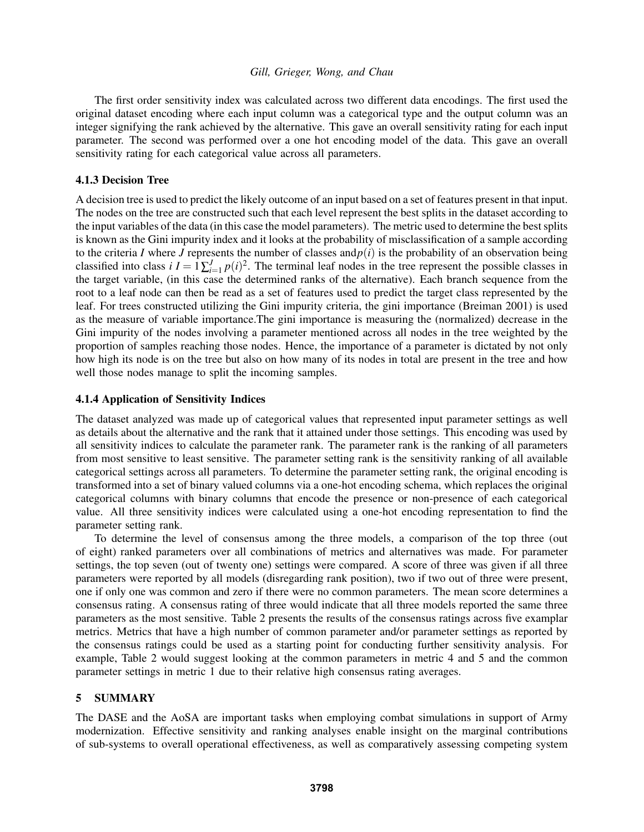The first order sensitivity index was calculated across two different data encodings. The first used the original dataset encoding where each input column was a categorical type and the output column was an integer signifying the rank achieved by the alternative. This gave an overall sensitivity rating for each input parameter. The second was performed over a one hot encoding model of the data. This gave an overall sensitivity rating for each categorical value across all parameters.

## 4.1.3 Decision Tree

A decision tree is used to predict the likely outcome of an input based on a set of features present in that input. The nodes on the tree are constructed such that each level represent the best splits in the dataset according to the input variables of the data (in this case the model parameters). The metric used to determine the best splits is known as the Gini impurity index and it looks at the probability of misclassification of a sample according to the criteria *I* where *J* represents the number of classes and  $p(i)$  is the probability of an observation being classified into class  $i I = \frac{1}{\sum_{i=1}^{J} p(i)^2}$ . The terminal leaf nodes in the tree represent the possible classes in the target variable, (in this case the determined ranks of the alternative). Each branch sequence from the root to a leaf node can then be read as a set of features used to predict the target class represented by the leaf. For trees constructed utilizing the Gini impurity criteria, the gini importance (Breiman 2001) is used as the measure of variable importance.The gini importance is measuring the (normalized) decrease in the Gini impurity of the nodes involving a parameter mentioned across all nodes in the tree weighted by the proportion of samples reaching those nodes. Hence, the importance of a parameter is dictated by not only how high its node is on the tree but also on how many of its nodes in total are present in the tree and how well those nodes manage to split the incoming samples.

## 4.1.4 Application of Sensitivity Indices

The dataset analyzed was made up of categorical values that represented input parameter settings as well as details about the alternative and the rank that it attained under those settings. This encoding was used by all sensitivity indices to calculate the parameter rank. The parameter rank is the ranking of all parameters from most sensitive to least sensitive. The parameter setting rank is the sensitivity ranking of all available categorical settings across all parameters. To determine the parameter setting rank, the original encoding is transformed into a set of binary valued columns via a one-hot encoding schema, which replaces the original categorical columns with binary columns that encode the presence or non-presence of each categorical value. All three sensitivity indices were calculated using a one-hot encoding representation to find the parameter setting rank.

To determine the level of consensus among the three models, a comparison of the top three (out of eight) ranked parameters over all combinations of metrics and alternatives was made. For parameter settings, the top seven (out of twenty one) settings were compared. A score of three was given if all three parameters were reported by all models (disregarding rank position), two if two out of three were present, one if only one was common and zero if there were no common parameters. The mean score determines a consensus rating. A consensus rating of three would indicate that all three models reported the same three parameters as the most sensitive. Table 2 presents the results of the consensus ratings across five examplar metrics. Metrics that have a high number of common parameter and/or parameter settings as reported by the consensus ratings could be used as a starting point for conducting further sensitivity analysis. For example, Table 2 would suggest looking at the common parameters in metric 4 and 5 and the common parameter settings in metric 1 due to their relative high consensus rating averages.

## 5 SUMMARY

The DASE and the AoSA are important tasks when employing combat simulations in support of Army modernization. Effective sensitivity and ranking analyses enable insight on the marginal contributions of sub-systems to overall operational effectiveness, as well as comparatively assessing competing system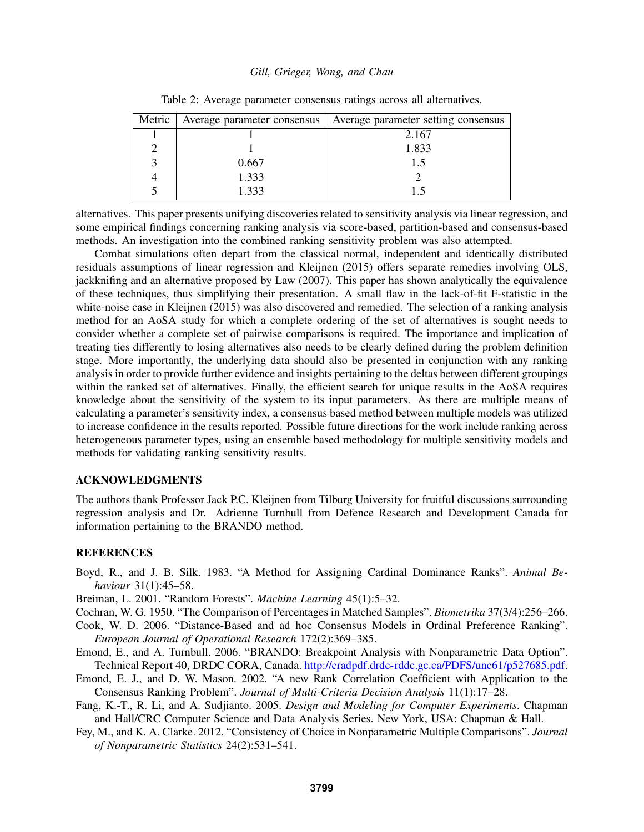| Metric | Average parameter consensus | Average parameter setting consensus |
|--------|-----------------------------|-------------------------------------|
|        |                             | 2.167                               |
|        |                             | 1.833                               |
|        | 0.667                       | 15                                  |
|        | 1.333                       |                                     |
|        | 1.333                       | 15                                  |

Table 2: Average parameter consensus ratings across all alternatives.

alternatives. This paper presents unifying discoveries related to sensitivity analysis via linear regression, and some empirical findings concerning ranking analysis via score-based, partition-based and consensus-based methods. An investigation into the combined ranking sensitivity problem was also attempted.

Combat simulations often depart from the classical normal, independent and identically distributed residuals assumptions of linear regression and Kleijnen (2015) offers separate remedies involving OLS, jackknifing and an alternative proposed by Law (2007). This paper has shown analytically the equivalence of these techniques, thus simplifying their presentation. A small flaw in the lack-of-fit F-statistic in the white-noise case in Kleijnen (2015) was also discovered and remedied. The selection of a ranking analysis method for an AoSA study for which a complete ordering of the set of alternatives is sought needs to consider whether a complete set of pairwise comparisons is required. The importance and implication of treating ties differently to losing alternatives also needs to be clearly defined during the problem definition stage. More importantly, the underlying data should also be presented in conjunction with any ranking analysis in order to provide further evidence and insights pertaining to the deltas between different groupings within the ranked set of alternatives. Finally, the efficient search for unique results in the AoSA requires knowledge about the sensitivity of the system to its input parameters. As there are multiple means of calculating a parameter's sensitivity index, a consensus based method between multiple models was utilized to increase confidence in the results reported. Possible future directions for the work include ranking across heterogeneous parameter types, using an ensemble based methodology for multiple sensitivity models and methods for validating ranking sensitivity results.

# ACKNOWLEDGMENTS

The authors thank Professor Jack P.C. Kleijnen from Tilburg University for fruitful discussions surrounding regression analysis and Dr. Adrienne Turnbull from Defence Research and Development Canada for information pertaining to the BRANDO method.

### REFERENCES

Boyd, R., and J. B. Silk. 1983. "A Method for Assigning Cardinal Dominance Ranks". *Animal Behaviour* 31(1):45–58.

Breiman, L. 2001. "Random Forests". *Machine Learning* 45(1):5–32.

- Cochran, W. G. 1950. "The Comparison of Percentages in Matched Samples". *Biometrika* 37(3/4):256–266.
- Cook, W. D. 2006. "Distance-Based and ad hoc Consensus Models in Ordinal Preference Ranking". *European Journal of Operational Research* 172(2):369–385.
- Emond, E., and A. Turnbull. 2006. "BRANDO: Breakpoint Analysis with Nonparametric Data Option". Technical Report 40, DRDC CORA, Canada. http://cradpdf.drdc-rddc.gc.ca/PDFS/unc61/p527685.pdf.
- Emond, E. J., and D. W. Mason. 2002. "A new Rank Correlation Coefficient with Application to the Consensus Ranking Problem". *Journal of Multi-Criteria Decision Analysis* 11(1):17–28.
- Fang, K.-T., R. Li, and A. Sudjianto. 2005. *Design and Modeling for Computer Experiments*. Chapman and Hall/CRC Computer Science and Data Analysis Series. New York, USA: Chapman & Hall.
- Fey, M., and K. A. Clarke. 2012. "Consistency of Choice in Nonparametric Multiple Comparisons". *Journal of Nonparametric Statistics* 24(2):531–541.